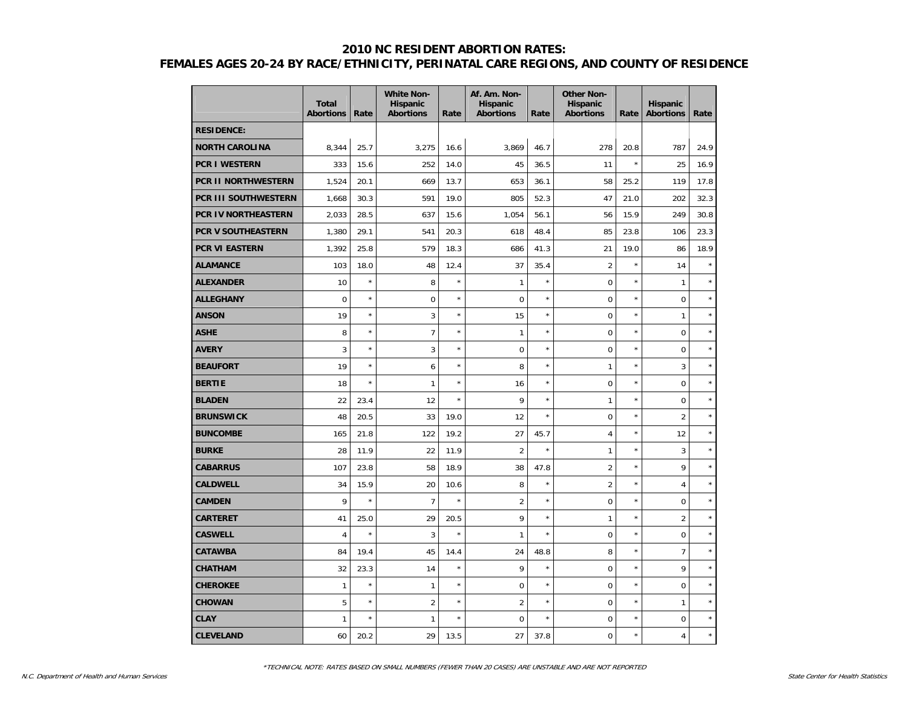|                            | <b>Total</b><br><b>Abortions</b> | Rate    | <b>White Non-</b><br>Hispanic<br><b>Abortions</b> | Rate    | Af. Am. Non-<br><b>Hispanic</b><br><b>Abortions</b> | Rate    | <b>Other Non-</b><br>Hispanic<br><b>Abortions</b> | Rate    | <b>Hispanic</b><br><b>Abortions</b> | Rate    |
|----------------------------|----------------------------------|---------|---------------------------------------------------|---------|-----------------------------------------------------|---------|---------------------------------------------------|---------|-------------------------------------|---------|
| <b>RESIDENCE:</b>          |                                  |         |                                                   |         |                                                     |         |                                                   |         |                                     |         |
| <b>NORTH CAROLINA</b>      | 8,344                            | 25.7    | 3,275                                             | 16.6    | 3,869                                               | 46.7    | 278                                               | 20.8    | 787                                 | 24.9    |
| <b>PCR I WESTERN</b>       | 333                              | 15.6    | 252                                               | 14.0    | 45                                                  | 36.5    | 11                                                | $\star$ | 25                                  | 16.9    |
| <b>PCR II NORTHWESTERN</b> | 1,524                            | 20.1    | 669                                               | 13.7    | 653                                                 | 36.1    | 58                                                | 25.2    | 119                                 | 17.8    |
| PCR III SOUTHWESTERN       | 1,668                            | 30.3    | 591                                               | 19.0    | 805                                                 | 52.3    | 47                                                | 21.0    | 202                                 | 32.3    |
| PCR IV NORTHEASTERN        | 2,033                            | 28.5    | 637                                               | 15.6    | 1,054                                               | 56.1    | 56                                                | 15.9    | 249                                 | 30.8    |
| <b>PCR V SOUTHEASTERN</b>  | 1,380                            | 29.1    | 541                                               | 20.3    | 618                                                 | 48.4    | 85                                                | 23.8    | 106                                 | 23.3    |
| PCR VI EASTERN             | 1,392                            | 25.8    | 579                                               | 18.3    | 686                                                 | 41.3    | 21                                                | 19.0    | 86                                  | 18.9    |
| <b>ALAMANCE</b>            | 103                              | 18.0    | 48                                                | 12.4    | 37                                                  | 35.4    | $\overline{2}$                                    | $\star$ | 14                                  | $\star$ |
| <b>ALEXANDER</b>           | 10                               | $\star$ | 8                                                 | $\star$ | $\mathbf{1}$                                        | $\star$ | $\mathbf 0$                                       | $\star$ | $\mathbf{1}$                        |         |
| <b>ALLEGHANY</b>           | $\mathbf 0$                      | $\star$ | 0                                                 | $\star$ | $\pmb{0}$                                           | $\star$ | $\mathbf 0$                                       | $\star$ | $\mathbf 0$                         | $\star$ |
| <b>ANSON</b>               | 19                               | $\star$ | 3                                                 | $\star$ | 15                                                  | $\star$ | 0                                                 | $\star$ | 1                                   | $\star$ |
| ASHE                       | 8                                | $\star$ | $\overline{7}$                                    | $\star$ | 1                                                   | $\star$ | $\overline{0}$                                    | $\star$ | $\overline{0}$                      | $\star$ |
| <b>AVERY</b>               | 3                                | $\star$ | 3                                                 | $\star$ | $\mathbf 0$                                         | $\star$ | 0                                                 | $\star$ | $\mathbf 0$                         | $\star$ |
| <b>BEAUFORT</b>            | 19                               | $\star$ | 6                                                 | $\star$ | 8                                                   | $\star$ | $\mathbf{1}$                                      | $\star$ | 3                                   | $\star$ |
| <b>BERTIE</b>              | 18                               | $\star$ | $\mathbf{1}$                                      | $\star$ | 16                                                  | $\star$ | $\overline{0}$                                    | $\star$ | $\mathbf 0$                         | $\star$ |
| <b>BLADEN</b>              | 22                               | 23.4    | 12                                                | $\star$ | 9                                                   | $\star$ | 1                                                 | $\star$ | $\mathbf 0$                         | $\star$ |
| <b>BRUNSWICK</b>           | 48                               | 20.5    | 33                                                | 19.0    | 12                                                  | $\star$ | $\mathbf 0$                                       | $\star$ | $\overline{2}$                      | $\star$ |
| <b>BUNCOMBE</b>            | 165                              | 21.8    | 122                                               | 19.2    | 27                                                  | 45.7    | $\overline{4}$                                    | $\star$ | 12                                  | $\star$ |
| <b>BURKE</b>               | 28                               | 11.9    | 22                                                | 11.9    | $\overline{2}$                                      | $\star$ | 1                                                 | $\star$ | 3                                   | $\star$ |
| <b>CABARRUS</b>            | 107                              | 23.8    | 58                                                | 18.9    | 38                                                  | 47.8    | $\overline{2}$                                    | $\star$ | 9                                   | $\star$ |
| <b>CALDWELL</b>            | 34                               | 15.9    | 20                                                | 10.6    | 8                                                   | $\star$ | $\overline{2}$                                    | $\star$ | 4                                   | $\star$ |
| <b>CAMDEN</b>              | 9                                | $\star$ | $\overline{7}$                                    | $\star$ | $\overline{2}$                                      | $\star$ | 0                                                 | $\star$ | $\mathbf 0$                         | $\star$ |
| CARTERET                   | 41                               | 25.0    | 29                                                | 20.5    | 9                                                   | $\star$ | 1                                                 | $\star$ | $\overline{2}$                      | $\star$ |
| <b>CASWELL</b>             | 4                                | $\star$ | 3                                                 | $\star$ | 1                                                   | $\star$ | $\mathbf 0$                                       | $\star$ | $\mathbf 0$                         | $\star$ |
| <b>CATAWBA</b>             | 84                               | 19.4    | 45                                                | 14.4    | 24                                                  | 48.8    | 8                                                 | $\star$ | 7                                   | $\star$ |
| <b>CHATHAM</b>             | 32                               | 23.3    | 14                                                | $\star$ | 9                                                   | $\star$ | 0                                                 | $\star$ | 9                                   | $\star$ |
| <b>CHEROKEE</b>            | $\mathbf{1}$                     | $\star$ | $\mathbf{1}$                                      | $\star$ | $\boldsymbol{0}$                                    | $\star$ | $\mathbf 0$                                       | $\star$ | $\mathbf 0$                         | $\star$ |
| <b>CHOWAN</b>              | 5                                | $\star$ | $\overline{2}$                                    | $\star$ | $\overline{2}$                                      | $\star$ | $\mathbf 0$                                       | $\star$ | $\mathbf{1}$                        | $\star$ |
| <b>CLAY</b>                | 1                                | $\star$ | $\mathbf{1}$                                      | $\star$ | $\mathbf 0$                                         | $\star$ | 0                                                 | $\star$ | $\overline{0}$                      | $\star$ |
| <b>CLEVELAND</b>           | 60                               | 20.2    | 29                                                | 13.5    | 27                                                  | 37.8    | 0                                                 | $\star$ | 4                                   | $\star$ |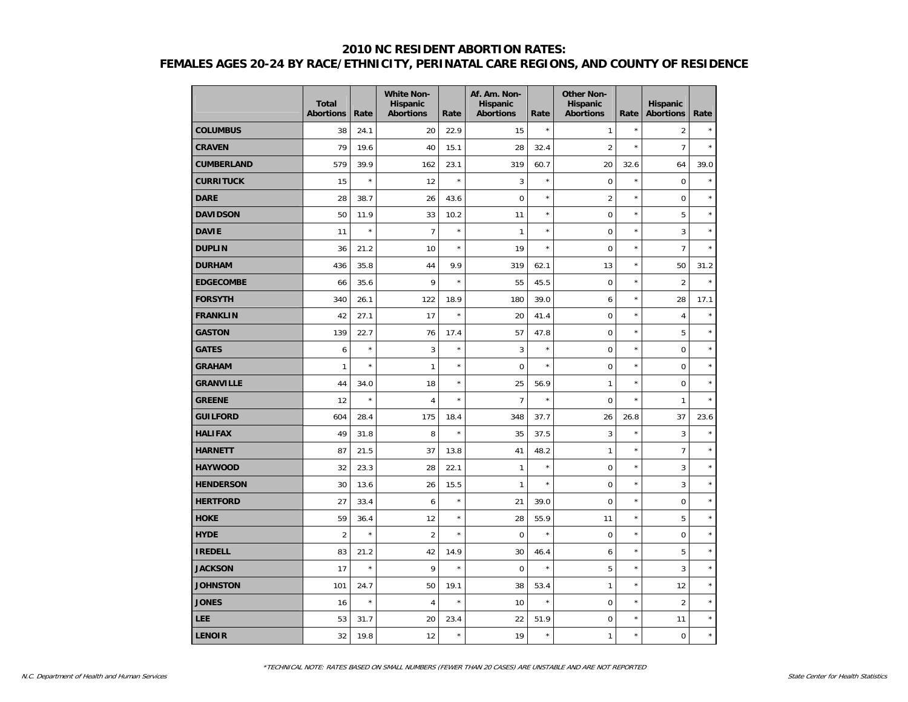|                   | <b>Total</b><br><b>Abortions</b> | Rate    | <b>White Non-</b><br><b>Hispanic</b><br><b>Abortions</b> | Rate    | Af. Am. Non-<br><b>Hispanic</b><br><b>Abortions</b> | Rate    | <b>Other Non-</b><br><b>Hispanic</b><br><b>Abortions</b> | Rate       | <b>Hispanic</b><br><b>Abortions</b> | Rate    |
|-------------------|----------------------------------|---------|----------------------------------------------------------|---------|-----------------------------------------------------|---------|----------------------------------------------------------|------------|-------------------------------------|---------|
| <b>COLUMBUS</b>   | 38                               | 24.1    | 20                                                       | 22.9    | 15                                                  | $\star$ | $\mathbf{1}$                                             | $\star$    | $\overline{2}$                      |         |
| <b>CRAVEN</b>     | 79                               | 19.6    | 40                                                       | 15.1    | 28                                                  | 32.4    | $\overline{2}$                                           | $\star$    | 7                                   | $\star$ |
| <b>CUMBERLAND</b> | 579                              | 39.9    | 162                                                      | 23.1    | 319                                                 | 60.7    | 20                                                       | 32.6       | 64                                  | 39.0    |
| <b>CURRITUCK</b>  | 15                               | $\star$ | 12                                                       | $\star$ | 3                                                   | $\star$ | $\pmb{0}$                                                | $\star$    | $\mathbf 0$                         | $\star$ |
| <b>DARE</b>       | 28                               | 38.7    | 26                                                       | 43.6    | $\mathbf 0$                                         | $\star$ | $\overline{2}$                                           | ×          | 0                                   | $\star$ |
| <b>DAVIDSON</b>   | 50                               | 11.9    | 33                                                       | 10.2    | 11                                                  | $\star$ | $\mathbf 0$                                              | ×          | 5                                   | $\star$ |
| <b>DAVIE</b>      | 11                               | $\star$ | $\overline{7}$                                           | $\star$ | $\mathbf{1}$                                        | $\star$ | $\Omega$                                                 | $\star$    | 3                                   | $\star$ |
| <b>DUPLIN</b>     | 36                               | 21.2    | 10                                                       | $\star$ | 19                                                  | $\star$ | $\mathbf 0$                                              | $\star$    | $\overline{7}$                      | $\star$ |
| <b>DURHAM</b>     | 436                              | 35.8    | 44                                                       | 9.9     | 319                                                 | 62.1    | 13                                                       | $\star$    | 50                                  | 31.2    |
| <b>EDGECOMBE</b>  | 66                               | 35.6    | 9                                                        | $\star$ | 55                                                  | 45.5    | $\mathbf 0$                                              | ×          | $\overline{2}$                      | $\star$ |
| <b>FORSYTH</b>    | 340                              | 26.1    | 122                                                      | 18.9    | 180                                                 | 39.0    | 6                                                        | $^{\star}$ | 28                                  | 17.1    |
| <b>FRANKLIN</b>   | 42                               | 27.1    | 17                                                       | $\star$ | 20                                                  | 41.4    | $\mathbf 0$                                              | $\star$    | 4                                   | $\star$ |
| <b>GASTON</b>     | 139                              | 22.7    | 76                                                       | 17.4    | 57                                                  | 47.8    | $\mathsf 0$                                              | $\star$    | 5                                   | $\star$ |
| <b>GATES</b>      | 6                                | $\star$ | 3                                                        | $\star$ | 3                                                   | $\star$ | $\mathbf 0$                                              | $\star$    | 0                                   | $\star$ |
| <b>GRAHAM</b>     | $\mathbf{1}$                     | $\star$ | $\mathbf{1}$                                             | $\star$ | $\mathbf 0$                                         | $\star$ | $\mathbf 0$                                              | $^{\star}$ | 0                                   | $\star$ |
| <b>GRANVILLE</b>  | 44                               | 34.0    | 18                                                       | $\star$ | 25                                                  | 56.9    | $\mathbf{1}$                                             | $\star$    | $\mathbf 0$                         | $\star$ |
| <b>GREENE</b>     | 12                               | $\star$ | $\overline{4}$                                           | $\star$ | $\overline{7}$                                      | $\star$ | $\mathbf 0$                                              | $\star$    | $\mathbf{1}$                        | $\star$ |
| <b>GUILFORD</b>   | 604                              | 28.4    | 175                                                      | 18.4    | 348                                                 | 37.7    | 26                                                       | 26.8       | 37                                  | 23.6    |
| <b>HALIFAX</b>    | 49                               | 31.8    | 8                                                        | $\star$ | 35                                                  | 37.5    | 3                                                        | $\star$    | 3                                   | $\star$ |
| <b>HARNETT</b>    | 87                               | 21.5    | 37                                                       | 13.8    | 41                                                  | 48.2    | $\mathbf{1}$                                             | $\star$    | $\overline{7}$                      | $\star$ |
| <b>HAYWOOD</b>    | 32                               | 23.3    | 28                                                       | 22.1    | $\mathbf{1}$                                        | $\star$ | $\mathbf 0$                                              | $\star$    | 3                                   | $\star$ |
| <b>HENDERSON</b>  | 30                               | 13.6    | 26                                                       | 15.5    | $\mathbf{1}$                                        | $\star$ | $\mathbf 0$                                              | $\star$    | 3                                   | $\star$ |
| <b>HERTFORD</b>   | 27                               | 33.4    | 6                                                        | $\star$ | 21                                                  | 39.0    | $\mathbf 0$                                              | $\star$    | 0                                   | $\star$ |
| <b>HOKE</b>       | 59                               | 36.4    | 12                                                       | $\star$ | 28                                                  | 55.9    | 11                                                       | $\star$    | 5                                   | $\star$ |
| <b>HYDE</b>       | $\overline{2}$                   | $\star$ | $\overline{2}$                                           | $\star$ | $\mathbf 0$                                         | $\star$ | $\mathbf 0$                                              | $\star$    | $\overline{0}$                      | $\star$ |
| <b>IREDELL</b>    | 83                               | 21.2    | 42                                                       | 14.9    | 30                                                  | 46.4    | 6                                                        | $^{\star}$ | 5                                   | $\star$ |
| <b>JACKSON</b>    | 17                               | $\star$ | 9                                                        | $\star$ | $\mathsf 0$                                         | $\star$ | 5                                                        | $\star$    | 3                                   | $\star$ |
| <b>JOHNSTON</b>   | 101                              | 24.7    | 50                                                       | 19.1    | 38                                                  | 53.4    | $\mathbf{1}$                                             | $\star$    | 12                                  | $\star$ |
| <b>JONES</b>      | 16                               | $\star$ | $\overline{4}$                                           | $\star$ | 10                                                  | $\star$ | $\mathbf 0$                                              | $\star$    | $\overline{2}$                      | $\star$ |
| LEE               | 53                               | 31.7    | 20                                                       | 23.4    | 22                                                  | 51.9    | $\mathbf 0$                                              | $\star$    | 11                                  | $\star$ |
| <b>LENOIR</b>     | 32                               | 19.8    | 12                                                       | $\star$ | 19                                                  | $\star$ | $\mathbf{1}$                                             | $\star$    | $\boldsymbol{0}$                    | $\star$ |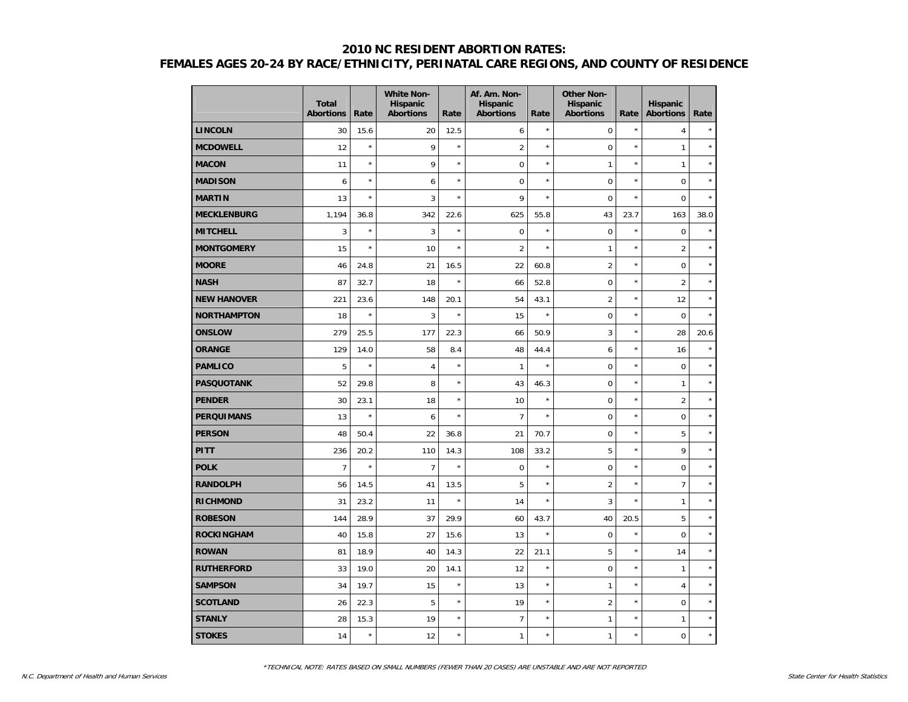|                    | <b>Total</b><br><b>Abortions</b> | Rate    | <b>White Non-</b><br><b>Hispanic</b><br><b>Abortions</b> | Rate       | Af. Am. Non-<br><b>Hispanic</b><br><b>Abortions</b> | Rate    | <b>Other Non-</b><br>Hispanic<br><b>Abortions</b> | Rate    | <b>Hispanic</b><br><b>Abortions</b> | Rate    |
|--------------------|----------------------------------|---------|----------------------------------------------------------|------------|-----------------------------------------------------|---------|---------------------------------------------------|---------|-------------------------------------|---------|
| <b>LINCOLN</b>     | 30                               | 15.6    | 20                                                       | 12.5       | 6                                                   | $\star$ | $\pmb{0}$                                         | $\star$ | $\overline{4}$                      | $\star$ |
| <b>MCDOWELL</b>    | 12                               | $\star$ | 9                                                        | $\star$    | $\overline{2}$                                      | $\star$ | 0                                                 | $\star$ | $\mathbf{1}$                        | $\star$ |
| <b>MACON</b>       | 11                               | $\star$ | 9                                                        | $\star$    | $\mathbf 0$                                         | $\star$ | $\mathbf{1}$                                      | $\star$ | $\mathbf{1}$                        | $\star$ |
| <b>MADISON</b>     | 6                                | $\star$ | 6                                                        | $\star$    | $\mathbf 0$                                         | $\star$ | $\overline{0}$                                    | $\star$ | $\mathbf 0$                         | $\star$ |
| <b>MARTIN</b>      | 13                               | $\star$ | $\mathbf{3}$                                             | $\star$    | 9                                                   | $\star$ | $\mathbf 0$                                       | $\star$ | $\mathbf 0$                         | $\star$ |
| <b>MECKLENBURG</b> | 1,194                            | 36.8    | 342                                                      | 22.6       | 625                                                 | 55.8    | 43                                                | 23.7    | 163                                 | 38.0    |
| <b>MITCHELL</b>    | 3                                | $\star$ | 3                                                        | $\star$    | $\mathbf 0$                                         | $\star$ | $\mathbf 0$                                       | $\star$ | $\mathbf 0$                         | $\star$ |
| <b>MONTGOMERY</b>  | 15                               | $\star$ | 10                                                       | $^{\star}$ | $\overline{2}$                                      | $\star$ | 1                                                 | $\star$ | $\overline{2}$                      | $\star$ |
| <b>MOORE</b>       | 46                               | 24.8    | 21                                                       | 16.5       | 22                                                  | 60.8    | $\overline{2}$                                    | $\star$ | $\mathbf 0$                         | $\star$ |
| <b>NASH</b>        | 87                               | 32.7    | 18                                                       | $\star$    | 66                                                  | 52.8    | $\mathbf 0$                                       | $\star$ | $\overline{2}$                      | $\star$ |
| <b>NEW HANOVER</b> | 221                              | 23.6    | 148                                                      | 20.1       | 54                                                  | 43.1    | $\overline{2}$                                    | $\star$ | 12                                  | $\star$ |
| <b>NORTHAMPTON</b> | 18                               | $\star$ | 3                                                        | $\star$    | 15                                                  | $\star$ | $\pmb{0}$                                         | $\star$ | $\mathbf 0$                         | $\star$ |
| <b>ONSLOW</b>      | 279                              | 25.5    | 177                                                      | 22.3       | 66                                                  | 50.9    | 3                                                 | $\star$ | 28                                  | 20.6    |
| <b>ORANGE</b>      | 129                              | 14.0    | 58                                                       | 8.4        | 48                                                  | 44.4    | 6                                                 | $\star$ | 16                                  | $\star$ |
| <b>PAMLICO</b>     | 5                                | $\star$ | $\overline{4}$                                           | $^{\star}$ | $\mathbf{1}$                                        | $\star$ | $\mathbf 0$                                       | $\star$ | $\mathbf 0$                         | $\star$ |
| <b>PASQUOTANK</b>  | 52                               | 29.8    | 8                                                        | $^{\star}$ | 43                                                  | 46.3    | $\mathbf 0$                                       | $\star$ | $\mathbf{1}$                        | $\star$ |
| <b>PENDER</b>      | 30                               | 23.1    | 18                                                       | $^{\star}$ | 10                                                  | $\star$ | $\pmb{0}$                                         | $\star$ | $\overline{2}$                      | $\star$ |
| <b>PERQUIMANS</b>  | 13                               | $\star$ | 6                                                        | $\star$    | $\overline{7}$                                      | $\star$ | $\pmb{0}$                                         | $\star$ | $\pmb{0}$                           | $\star$ |
| <b>PERSON</b>      | 48                               | 50.4    | 22                                                       | 36.8       | 21                                                  | 70.7    | $\mathbf 0$                                       | $\star$ | 5                                   | $\star$ |
| <b>PITT</b>        | 236                              | 20.2    | 110                                                      | 14.3       | 108                                                 | 33.2    | 5                                                 | $\star$ | 9                                   | $\star$ |
| <b>POLK</b>        | $\overline{7}$                   | $\star$ | $\overline{7}$                                           | ×          | $\mathbf 0$                                         | $\star$ | $\overline{0}$                                    | $\star$ | $\mathbf 0$                         | $\star$ |
| <b>RANDOLPH</b>    | 56                               | 14.5    | 41                                                       | 13.5       | 5                                                   | $\star$ | $\overline{2}$                                    | $\star$ | $\overline{7}$                      | $\star$ |
| <b>RICHMOND</b>    | 31                               | 23.2    | 11                                                       | $^{\star}$ | 14                                                  | $\star$ | 3                                                 | $\star$ | $\mathbf{1}$                        | $\star$ |
| <b>ROBESON</b>     | 144                              | 28.9    | 37                                                       | 29.9       | 60                                                  | 43.7    | 40                                                | 20.5    | 5                                   | $\star$ |
| <b>ROCKINGHAM</b>  | 40                               | 15.8    | 27                                                       | 15.6       | 13                                                  | $\star$ | $\pmb{0}$                                         | $\star$ | $\pmb{0}$                           | $\star$ |
| <b>ROWAN</b>       | 81                               | 18.9    | 40                                                       | 14.3       | 22                                                  | 21.1    | 5                                                 | $\star$ | 14                                  | $\star$ |
| <b>RUTHERFORD</b>  | 33                               | 19.0    | 20                                                       | 14.1       | 12                                                  | $\star$ | $\overline{0}$                                    | $\star$ | $\mathbf{1}$                        | $\star$ |
| <b>SAMPSON</b>     | 34                               | 19.7    | 15                                                       | $\star$    | 13                                                  | $\star$ | $\mathbf{1}$                                      | $\star$ | $\overline{4}$                      | $\star$ |
| <b>SCOTLAND</b>    | 26                               | 22.3    | 5                                                        | $^{\star}$ | 19                                                  | $\star$ | $\overline{2}$                                    | $\star$ | $\mathbf 0$                         | $\star$ |
| <b>STANLY</b>      | 28                               | 15.3    | 19                                                       | $^{\star}$ | $\overline{7}$                                      | $\star$ | $\mathbf{1}$                                      | $\star$ | $\mathbf{1}$                        | $\star$ |
| <b>STOKES</b>      | 14                               | $\star$ | 12                                                       | ×          | $\mathbf{1}$                                        | $\star$ | $\mathbf{1}$                                      | $\star$ | $\mathbf 0$                         | $\star$ |